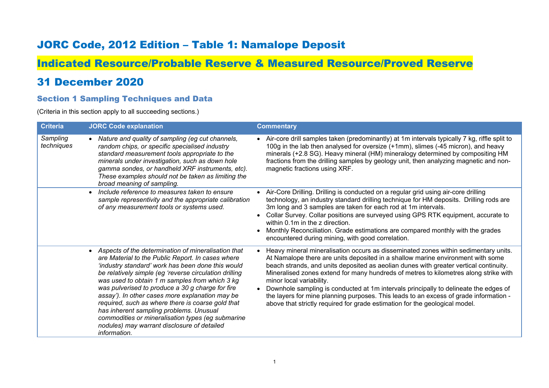## JORC Code, 2012 Edition – Table 1: Namalope Deposit

# Indicated Resource/Probable Reserve & Measured Resource/Proved Reserve

## 31 December 2020

#### Section 1 Sampling Techniques and Data

(Criteria in this section apply to all succeeding sections.)

| <b>Criteria</b>        | <b>JORC Code explanation</b>                                                                                                                                                                                                                                                                                                                                                                                                                                                                                                                                                                                      | <b>Commentary</b>                                                                                                                                                                                                                                                                                                                                                                                                                                                                                                                                                                                                                                                |
|------------------------|-------------------------------------------------------------------------------------------------------------------------------------------------------------------------------------------------------------------------------------------------------------------------------------------------------------------------------------------------------------------------------------------------------------------------------------------------------------------------------------------------------------------------------------------------------------------------------------------------------------------|------------------------------------------------------------------------------------------------------------------------------------------------------------------------------------------------------------------------------------------------------------------------------------------------------------------------------------------------------------------------------------------------------------------------------------------------------------------------------------------------------------------------------------------------------------------------------------------------------------------------------------------------------------------|
| Sampling<br>techniques | Nature and quality of sampling (eg cut channels,<br>random chips, or specific specialised industry<br>standard measurement tools appropriate to the<br>minerals under investigation, such as down hole<br>gamma sondes, or handheld XRF instruments, etc).<br>These examples should not be taken as limiting the<br>broad meaning of sampling.                                                                                                                                                                                                                                                                    | Air-core drill samples taken (predominantly) at 1m intervals typically 7 kg, riffle split to<br>100g in the lab then analysed for oversize (+1mm), slimes (-45 micron), and heavy<br>minerals (+2.8 SG). Heavy mineral (HM) mineralogy determined by compositing HM<br>fractions from the drilling samples by geology unit, then analyzing magnetic and non-<br>magnetic fractions using XRF.                                                                                                                                                                                                                                                                    |
|                        | Include reference to measures taken to ensure<br>sample representivity and the appropriate calibration<br>of any measurement tools or systems used.                                                                                                                                                                                                                                                                                                                                                                                                                                                               | Air-Core Drilling. Drilling is conducted on a regular grid using air-core drilling<br>technology, an industry standard drilling technique for HM deposits. Drilling rods are<br>3m long and 3 samples are taken for each rod at 1m intervals.<br>Collar Survey. Collar positions are surveyed using GPS RTK equipment, accurate to<br>$\bullet$<br>within $0.1m$ in the $z$ direction.<br>Monthly Reconciliation. Grade estimations are compared monthly with the grades<br>encountered during mining, with good correlation.                                                                                                                                    |
|                        | Aspects of the determination of mineralisation that<br>$\bullet$<br>are Material to the Public Report. In cases where<br>'industry standard' work has been done this would<br>be relatively simple (eg 'reverse circulation drilling<br>was used to obtain 1 m samples from which 3 kg<br>was pulverised to produce a 30 g charge for fire<br>assay'). In other cases more explanation may be<br>required, such as where there is coarse gold that<br>has inherent sampling problems. Unusual<br>commodities or mineralisation types (eg submarine<br>nodules) may warrant disclosure of detailed<br>information. | Heavy mineral mineralisation occurs as disseminated zones within sedimentary units.<br>At Namalope there are units deposited in a shallow marine environment with some<br>beach strands, and units deposited as aeolian dunes with greater vertical continuity.<br>Mineralised zones extend for many hundreds of metres to kilometres along strike with<br>minor local variability.<br>Downhole sampling is conducted at 1m intervals principally to delineate the edges of<br>$\bullet$<br>the layers for mine planning purposes. This leads to an excess of grade information -<br>above that strictly required for grade estimation for the geological model. |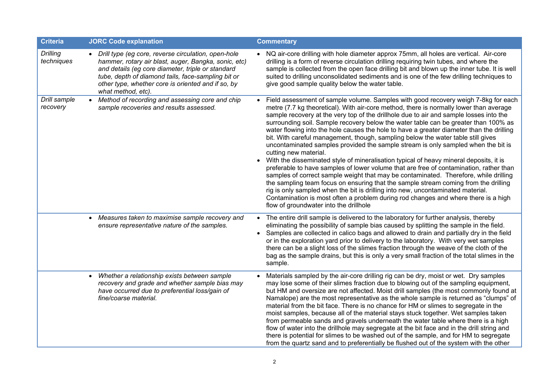| <b>Criteria</b>               | <b>JORC Code explanation</b>                                                                                                                                                                                                                                                                         | <b>Commentary</b>                                                                                                                                                                                                                                                                                                                                                                                                                                                                                                                                                                                                                                                                                                                                                                                                                                                                                                                                                                                                                                                                                                                                                                                                                                 |
|-------------------------------|------------------------------------------------------------------------------------------------------------------------------------------------------------------------------------------------------------------------------------------------------------------------------------------------------|---------------------------------------------------------------------------------------------------------------------------------------------------------------------------------------------------------------------------------------------------------------------------------------------------------------------------------------------------------------------------------------------------------------------------------------------------------------------------------------------------------------------------------------------------------------------------------------------------------------------------------------------------------------------------------------------------------------------------------------------------------------------------------------------------------------------------------------------------------------------------------------------------------------------------------------------------------------------------------------------------------------------------------------------------------------------------------------------------------------------------------------------------------------------------------------------------------------------------------------------------|
| <b>Drilling</b><br>techniques | • Drill type (eg core, reverse circulation, open-hole<br>hammer, rotary air blast, auger, Bangka, sonic, etc)<br>and details (eg core diameter, triple or standard<br>tube, depth of diamond tails, face-sampling bit or<br>other type, whether core is oriented and if so, by<br>what method, etc). | • NQ air-core drilling with hole diameter approx 75mm, all holes are vertical. Air-core<br>drilling is a form of reverse circulation drilling requiring twin tubes, and where the<br>sample is collected from the open face drilling bit and blown up the inner tube. It is well<br>suited to drilling unconsolidated sediments and is one of the few drilling techniques to<br>give good sample quality below the water table.                                                                                                                                                                                                                                                                                                                                                                                                                                                                                                                                                                                                                                                                                                                                                                                                                   |
| Drill sample<br>recovery      | • Method of recording and assessing core and chip<br>sample recoveries and results assessed.                                                                                                                                                                                                         | Field assessment of sample volume. Samples with good recovery weigh 7-8kg for each<br>metre (7.7 kg theoretical). With air-core method, there is normally lower than average<br>sample recovery at the very top of the drillhole due to air and sample losses into the<br>surrounding soil. Sample recovery below the water table can be greater than 100% as<br>water flowing into the hole causes the hole to have a greater diameter than the drilling<br>bit. With careful management, though, sampling below the water table still gives<br>uncontaminated samples provided the sample stream is only sampled when the bit is<br>cutting new material.<br>With the disseminated style of mineralisation typical of heavy mineral deposits, it is<br>preferable to have samples of lower volume that are free of contamination, rather than<br>samples of correct sample weight that may be contaminated. Therefore, while drilling<br>the sampling team focus on ensuring that the sample stream coming from the drilling<br>rig is only sampled when the bit is drilling into new, uncontaminated material.<br>Contamination is most often a problem during rod changes and where there is a high<br>flow of groundwater into the drillhole |
|                               | Measures taken to maximise sample recovery and<br>$\bullet$<br>ensure representative nature of the samples.                                                                                                                                                                                          | • The entire drill sample is delivered to the laboratory for further analysis, thereby<br>eliminating the possibility of sample bias caused by splitting the sample in the field.<br>Samples are collected in calico bags and allowed to drain and partially dry in the field<br>$\bullet$<br>or in the exploration yard prior to delivery to the laboratory. With very wet samples<br>there can be a slight loss of the slimes fraction through the weave of the cloth of the<br>bag as the sample drains, but this is only a very small fraction of the total slimes in the<br>sample.                                                                                                                                                                                                                                                                                                                                                                                                                                                                                                                                                                                                                                                          |
|                               | Whether a relationship exists between sample<br>$\bullet$<br>recovery and grade and whether sample bias may<br>have occurred due to preferential loss/gain of<br>fine/coarse material.                                                                                                               | Materials sampled by the air-core drilling rig can be dry, moist or wet. Dry samples<br>may lose some of their slimes fraction due to blowing out of the sampling equipment,<br>but HM and oversize are not affected. Moist drill samples (the most commonly found at<br>Namalope) are the most representative as the whole sample is returned as "clumps" of<br>material from the bit face. There is no chance for HM or slimes to segregate in the<br>moist samples, because all of the material stays stuck together. Wet samples taken<br>from permeable sands and gravels underneath the water table where there is a high<br>flow of water into the drillhole may segregate at the bit face and in the drill string and<br>there is potential for slimes to be washed out of the sample, and for HM to segregate<br>from the quartz sand and to preferentially be flushed out of the system with the other                                                                                                                                                                                                                                                                                                                                  |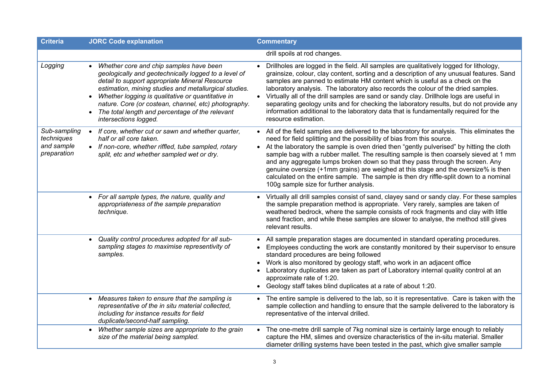| <b>Criteria</b>                                         | <b>JORC Code explanation</b>                                                                                                                                                                                                                                                                                                                                                                                                               | <b>Commentary</b>                                                                                                                                                                                                                                                                                                                                                                                                                                                                                                                                                                                                                                                        |
|---------------------------------------------------------|--------------------------------------------------------------------------------------------------------------------------------------------------------------------------------------------------------------------------------------------------------------------------------------------------------------------------------------------------------------------------------------------------------------------------------------------|--------------------------------------------------------------------------------------------------------------------------------------------------------------------------------------------------------------------------------------------------------------------------------------------------------------------------------------------------------------------------------------------------------------------------------------------------------------------------------------------------------------------------------------------------------------------------------------------------------------------------------------------------------------------------|
|                                                         |                                                                                                                                                                                                                                                                                                                                                                                                                                            | drill spoils at rod changes.                                                                                                                                                                                                                                                                                                                                                                                                                                                                                                                                                                                                                                             |
| Logging                                                 | Whether core and chip samples have been<br>$\bullet$<br>geologically and geotechnically logged to a level of<br>detail to support appropriate Mineral Resource<br>estimation, mining studies and metallurgical studies.<br>Whether logging is qualitative or quantitative in<br>$\bullet$<br>nature. Core (or costean, channel, etc) photography.<br>The total length and percentage of the relevant<br>$\bullet$<br>intersections logged. | Drillholes are logged in the field. All samples are qualitatively logged for lithology,<br>grainsize, colour, clay content, sorting and a description of any unusual features. Sand<br>samples are panned to estimate HM content which is useful as a check on the<br>laboratory analysis. The laboratory also records the colour of the dried samples.<br>• Virtually all of the drill samples are sand or sandy clay. Drillhole logs are useful in<br>separating geology units and for checking the laboratory results, but do not provide any<br>information additional to the laboratory data that is fundamentally required for the<br>resource estimation.         |
| Sub-sampling<br>techniques<br>and sample<br>preparation | If core, whether cut or sawn and whether quarter,<br>$\bullet$<br>half or all core taken.<br>• If non-core, whether riffled, tube sampled, rotary<br>split, etc and whether sampled wet or dry.                                                                                                                                                                                                                                            | • All of the field samples are delivered to the laboratory for analysis. This eliminates the<br>need for field splitting and the possibility of bias from this source.<br>• At the laboratory the sample is oven dried then "gently pulverised" by hitting the cloth<br>sample bag with a rubber mallet. The resulting sample is then coarsely sieved at 1 mm<br>and any aggregate lumps broken down so that they pass through the screen. Any<br>genuine oversize (+1mm grains) are weighed at this stage and the oversize% is then<br>calculated on the entire sample. The sample is then dry riffle-split down to a nominal<br>100g sample size for further analysis. |
|                                                         | • For all sample types, the nature, quality and<br>appropriateness of the sample preparation<br>technique.                                                                                                                                                                                                                                                                                                                                 | • Virtually all drill samples consist of sand, clayey sand or sandy clay. For these samples<br>the sample preparation method is appropriate. Very rarely, samples are taken of<br>weathered bedrock, where the sample consists of rock fragments and clay with little<br>sand fraction, and while these samples are slower to analyse, the method still gives<br>relevant results.                                                                                                                                                                                                                                                                                       |
|                                                         | Quality control procedures adopted for all sub-<br>$\bullet$<br>sampling stages to maximise representivity of<br>samples.                                                                                                                                                                                                                                                                                                                  | • All sample preparation stages are documented in standard operating procedures.<br>Employees conducting the work are constantly monitored by their supervisor to ensure<br>standard procedures are being followed<br>Work is also monitored by geology staff, who work in an adjacent office<br>Laboratory duplicates are taken as part of Laboratory internal quality control at an<br>approximate rate of 1:20.<br>• Geology staff takes blind duplicates at a rate of about 1:20.                                                                                                                                                                                    |
|                                                         | Measures taken to ensure that the sampling is<br>$\bullet$<br>representative of the in situ material collected,<br>including for instance results for field<br>duplicate/second-half sampling.                                                                                                                                                                                                                                             | • The entire sample is delivered to the lab, so it is representative. Care is taken with the<br>sample collection and handling to ensure that the sample delivered to the laboratory is<br>representative of the interval drilled.                                                                                                                                                                                                                                                                                                                                                                                                                                       |
|                                                         | Whether sample sizes are appropriate to the grain<br>size of the material being sampled.                                                                                                                                                                                                                                                                                                                                                   | • The one-metre drill sample of 7kg nominal size is certainly large enough to reliably<br>capture the HM, slimes and oversize characteristics of the in-situ material. Smaller<br>diameter drilling systems have been tested in the past, which give smaller sample                                                                                                                                                                                                                                                                                                                                                                                                      |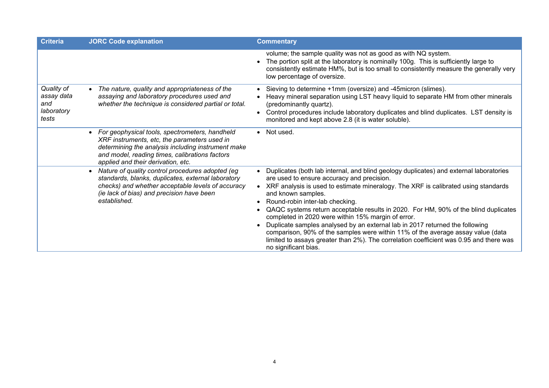| <b>Criteria</b>                                        | <b>JORC Code explanation</b>                                                                                                                                                                                                                   | <b>Commentary</b>                                                                                                                                                                                                                                                                                                                                                                                                                                                                                                                                                                                                                                                                                                                    |
|--------------------------------------------------------|------------------------------------------------------------------------------------------------------------------------------------------------------------------------------------------------------------------------------------------------|--------------------------------------------------------------------------------------------------------------------------------------------------------------------------------------------------------------------------------------------------------------------------------------------------------------------------------------------------------------------------------------------------------------------------------------------------------------------------------------------------------------------------------------------------------------------------------------------------------------------------------------------------------------------------------------------------------------------------------------|
|                                                        |                                                                                                                                                                                                                                                | volume; the sample quality was not as good as with NQ system.<br>The portion split at the laboratory is nominally 100g. This is sufficiently large to<br>consistently estimate HM%, but is too small to consistently measure the generally very<br>low percentage of oversize.                                                                                                                                                                                                                                                                                                                                                                                                                                                       |
| Quality of<br>assay data<br>and<br>laboratory<br>tests | The nature, quality and appropriateness of the<br>$\bullet$<br>assaying and laboratory procedures used and<br>whether the technique is considered partial or total.                                                                            | Sieving to determine +1mm (oversize) and -45micron (slimes).<br>Heavy mineral separation using LST heavy liquid to separate HM from other minerals<br>(predominantly quartz).<br>Control procedures include laboratory duplicates and blind duplicates. LST density is<br>$\bullet$<br>monitored and kept above 2.8 (it is water soluble).                                                                                                                                                                                                                                                                                                                                                                                           |
|                                                        | • For geophysical tools, spectrometers, handheld<br>XRF instruments, etc, the parameters used in<br>determining the analysis including instrument make<br>and model, reading times, calibrations factors<br>applied and their derivation, etc. | • Not used.                                                                                                                                                                                                                                                                                                                                                                                                                                                                                                                                                                                                                                                                                                                          |
|                                                        | Nature of quality control procedures adopted (eg<br>$\bullet$<br>standards, blanks, duplicates, external laboratory<br>checks) and whether acceptable levels of accuracy<br>(ie lack of bias) and precision have been<br>established.          | Duplicates (both lab internal, and blind geology duplicates) and external laboratories<br>are used to ensure accuracy and precision.<br>• XRF analysis is used to estimate mineralogy. The XRF is calibrated using standards<br>and known samples.<br>Round-robin inter-lab checking.<br>$\bullet$<br>QAQC systems return acceptable results in 2020. For HM, 90% of the blind duplicates<br>completed in 2020 were within 15% margin of error.<br>Duplicate samples analysed by an external lab in 2017 returned the following<br>comparison, 90% of the samples were within 11% of the average assay value (data<br>limited to assays greater than 2%). The correlation coefficient was 0.95 and there was<br>no significant bias. |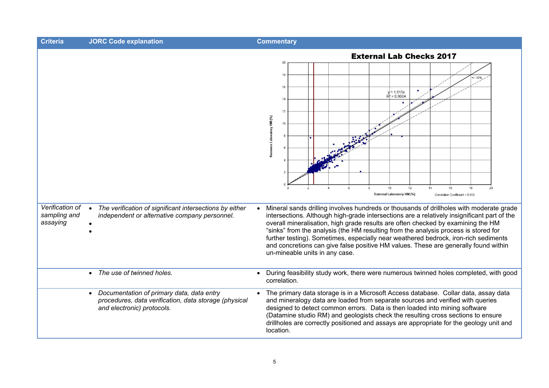| <b>Criteria</b>                             | <b>JORC Code explanation</b>                                                                                                                  | <b>Commentary</b>                                                                                                                                                                                                                                                                                                                                                                                                                                                                                                                                                                                                                                                                                                                                                                                                                        |
|---------------------------------------------|-----------------------------------------------------------------------------------------------------------------------------------------------|------------------------------------------------------------------------------------------------------------------------------------------------------------------------------------------------------------------------------------------------------------------------------------------------------------------------------------------------------------------------------------------------------------------------------------------------------------------------------------------------------------------------------------------------------------------------------------------------------------------------------------------------------------------------------------------------------------------------------------------------------------------------------------------------------------------------------------------|
| Verification of<br>sampling and<br>assaying | The verification of significant intersections by either<br>independent or alternative company personnel.                                      | <b>External Lab Checks 2017</b><br>20<br>18<br>10%<br>16<br>$= 1.015x$<br>$R^2 = 0.9084$<br>14<br>12<br>Kenmare Laboratory HM (%)<br>10<br>10<br>12<br>14<br>16<br>18<br>20<br><b>External Laboratory HM (%)</b><br>Correlation Coefficient = 0.953<br>Mineral sands drilling involves hundreds or thousands of drillholes with moderate grade<br>intersections. Although high-grade intersections are a relatively insignificant part of the<br>overall mineralisation, high grade results are often checked by examining the HM<br>"sinks" from the analysis (the HM resulting from the analysis process is stored for<br>further testing). Sometimes, especially near weathered bedrock, iron-rich sediments<br>and concretions can give false positive HM values. These are generally found within<br>un-mineable units in any case. |
|                                             | The use of twinned holes.<br>$\bullet$                                                                                                        | During feasibility study work, there were numerous twinned holes completed, with good<br>correlation.                                                                                                                                                                                                                                                                                                                                                                                                                                                                                                                                                                                                                                                                                                                                    |
|                                             | Documentation of primary data, data entry<br>$\bullet$<br>procedures, data verification, data storage (physical<br>and electronic) protocols. | The primary data storage is in a Microsoft Access database. Collar data, assay data<br>and mineralogy data are loaded from separate sources and verified with queries<br>designed to detect common errors. Data is then loaded into mining software<br>(Datamine studio RM) and geologists check the resulting cross sections to ensure<br>drillholes are correctly positioned and assays are appropriate for the geology unit and<br>location.                                                                                                                                                                                                                                                                                                                                                                                          |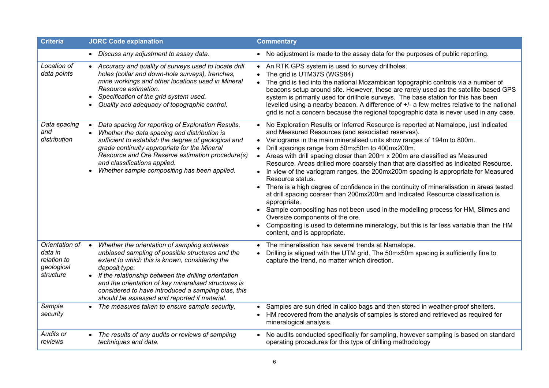| <b>Criteria</b>                                                               | <b>JORC Code explanation</b>                                                                                                                                                                                                                                                                                                                                                                                                                                 | <b>Commentary</b>                                                                                                                                                                                                                                                                                                                                                                                                                                                                                                                                                                                                                                                                                                                                                                                                                                                                                                                                                                                                                         |
|-------------------------------------------------------------------------------|--------------------------------------------------------------------------------------------------------------------------------------------------------------------------------------------------------------------------------------------------------------------------------------------------------------------------------------------------------------------------------------------------------------------------------------------------------------|-------------------------------------------------------------------------------------------------------------------------------------------------------------------------------------------------------------------------------------------------------------------------------------------------------------------------------------------------------------------------------------------------------------------------------------------------------------------------------------------------------------------------------------------------------------------------------------------------------------------------------------------------------------------------------------------------------------------------------------------------------------------------------------------------------------------------------------------------------------------------------------------------------------------------------------------------------------------------------------------------------------------------------------------|
|                                                                               | • Discuss any adjustment to assay data.                                                                                                                                                                                                                                                                                                                                                                                                                      | • No adjustment is made to the assay data for the purposes of public reporting.                                                                                                                                                                                                                                                                                                                                                                                                                                                                                                                                                                                                                                                                                                                                                                                                                                                                                                                                                           |
| Location of<br>data points                                                    | • Accuracy and quality of surveys used to locate drill<br>holes (collar and down-hole surveys), trenches,<br>mine workings and other locations used in Mineral<br>Resource estimation.<br>Specification of the grid system used.<br>Quality and adequacy of topographic control.                                                                                                                                                                             | • An RTK GPS system is used to survey drillholes.<br>The grid is UTM37S (WGS84)<br>The grid is tied into the national Mozambican topographic controls via a number of<br>$\bullet$<br>beacons setup around site. However, these are rarely used as the satellite-based GPS<br>system is primarily used for drillhole surveys. The base station for this has been<br>levelled using a nearby beacon. A difference of +/- a few metres relative to the national<br>grid is not a concern because the regional topographic data is never used in any case.                                                                                                                                                                                                                                                                                                                                                                                                                                                                                   |
| Data spacing<br>and<br>distribution                                           | Data spacing for reporting of Exploration Results.<br>$\bullet$<br>Whether the data spacing and distribution is<br>sufficient to establish the degree of geological and<br>grade continuity appropriate for the Mineral<br>Resource and Ore Reserve estimation procedure(s)<br>and classifications applied.<br>Whether sample compositing has been applied.                                                                                                  | • No Exploration Results or Inferred Resource is reported at Namalope, just Indicated<br>and Measured Resources (and associated reserves).<br>• Variograms in the main mineralised units show ranges of 194m to 800m.<br>Drill spacings range from 50mx50m to 400mx200m.<br>Areas with drill spacing closer than 200m x 200m are classified as Measured<br>$\bullet$<br>Resource. Areas drilled more coarsely than that are classified as Indicated Resource.<br>• In view of the variogram ranges, the 200mx200m spacing is appropriate for Measured<br>Resource status.<br>There is a high degree of confidence in the continuity of mineralisation in areas tested<br>$\bullet$<br>at drill spacing coarser than 200mx200m and Indicated Resource classification is<br>appropriate.<br>• Sample compositing has not been used in the modelling process for HM, Slimes and<br>Oversize components of the ore.<br>Compositing is used to determine mineralogy, but this is far less variable than the HM<br>content, and is appropriate. |
| Orientation of<br>data in<br>relation to<br>geological<br>structure<br>Sample | Whether the orientation of sampling achieves<br>$\bullet$<br>unbiased sampling of possible structures and the<br>extent to which this is known, considering the<br>deposit type.<br>• If the relationship between the drilling orientation<br>and the orientation of key mineralised structures is<br>considered to have introduced a sampling bias, this<br>should be assessed and reported if material.<br>• The measures taken to ensure sample security. | The mineralisation has several trends at Namalope.<br>Drilling is aligned with the UTM grid. The 50mx50m spacing is sufficiently fine to<br>$\bullet$<br>capture the trend, no matter which direction.<br>Samples are sun dried in calico bags and then stored in weather-proof shelters.                                                                                                                                                                                                                                                                                                                                                                                                                                                                                                                                                                                                                                                                                                                                                 |
| security                                                                      |                                                                                                                                                                                                                                                                                                                                                                                                                                                              | HM recovered from the analysis of samples is stored and retrieved as required for<br>mineralogical analysis.                                                                                                                                                                                                                                                                                                                                                                                                                                                                                                                                                                                                                                                                                                                                                                                                                                                                                                                              |
| Audits or<br>reviews                                                          | The results of any audits or reviews of sampling<br>$\bullet$<br>techniques and data.                                                                                                                                                                                                                                                                                                                                                                        | No audits conducted specifically for sampling, however sampling is based on standard<br>$\bullet$<br>operating procedures for this type of drilling methodology                                                                                                                                                                                                                                                                                                                                                                                                                                                                                                                                                                                                                                                                                                                                                                                                                                                                           |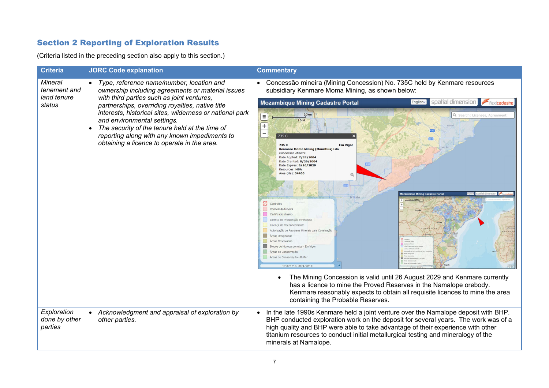## Section 2 Reporting of Exploration Results

(Criteria listed in the preceding section also apply to this section.)

| <b>Criteria</b>                                         | <b>JORC Code explanation</b>                                                                                                                                                                                                                                                                                                                                                                                                                  | <b>Commentary</b>                                                                                                                                                                                                                                                                                                                                                                                                                                                                                                                                                                                                                                                                                                                                                                                                                                                                                                |
|---------------------------------------------------------|-----------------------------------------------------------------------------------------------------------------------------------------------------------------------------------------------------------------------------------------------------------------------------------------------------------------------------------------------------------------------------------------------------------------------------------------------|------------------------------------------------------------------------------------------------------------------------------------------------------------------------------------------------------------------------------------------------------------------------------------------------------------------------------------------------------------------------------------------------------------------------------------------------------------------------------------------------------------------------------------------------------------------------------------------------------------------------------------------------------------------------------------------------------------------------------------------------------------------------------------------------------------------------------------------------------------------------------------------------------------------|
| <b>Mineral</b><br>tenement and<br>land tenure<br>status | Type, reference name/number, location and<br>ownership including agreements or material issues<br>with third parties such as joint ventures,<br>partnerships, overriding royalties, native title<br>interests, historical sites, wilderness or national park<br>and environmental settings.<br>The security of the tenure held at the time of<br>reporting along with any known impediments to<br>obtaining a licence to operate in the area. | Concessão mineira (Mining Concession) No. 735C held by Kenmare resources<br>subsidiary Kenmare Moma Mining, as shown below:<br><b>Mozambique Mining Cadastre Portal</b><br>English-<br>soalial dimens<br>Flexicadash<br>20km<br>Q. Search: Licenses, Agreement<br>$\equiv$<br>10 <sub>mi</sub><br>٠<br>-<br>735 C<br>735 C<br><b>Em Vigor</b><br>Kenmare Moma Mining (Mauritius) Lda<br>Concessão Mineira<br>Date Applied: 7/22/2004<br>Date Granted: 8/26/2004<br>Date Expires: 8/26/2029<br>Resources: HSA<br>Area (Ha): 34460<br>552<br><b>Mining Cadastre Porta</b><br>MOM/<br>Ø<br>Contrato<br>Concessão Mineira<br>Certificado Mineiro<br>Licença de Prospecção e Pesquisa<br>Licenca de Reconhecimento<br>Autorização de Recursos Minerais para Construção<br><b>Areas Designadas</b><br>Áreas Reservadas<br>Blocos de Hidrocarbonetos - Em Vigo<br>Áreas de Conservação<br>Áreas de Conservação - Buffer |
| Exploration<br>done by other<br>parties                 | Acknowledgment and appraisal of exploration by<br>other parties.                                                                                                                                                                                                                                                                                                                                                                              | 16°30'17" S 38°47'31" E<br>The Mining Concession is valid until 26 August 2029 and Kenmare currently<br>has a licence to mine the Proved Reserves in the Namalope orebody.<br>Kenmare reasonably expects to obtain all requisite licences to mine the area<br>containing the Probable Reserves.<br>In the late 1990s Kenmare held a joint venture over the Namalope deposit with BHP.<br>$\bullet$<br>BHP conducted exploration work on the deposit for several years. The work was of a<br>high quality and BHP were able to take advantage of their experience with other<br>titanium resources to conduct initial metallurgical testing and mineralogy of the<br>minerals at Namalope.                                                                                                                                                                                                                        |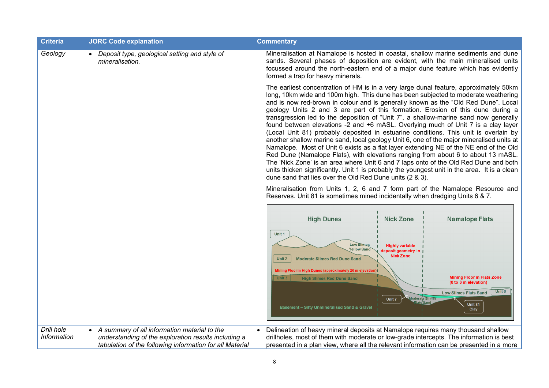| <b>Criteria</b>                  | <b>JORC Code explanation</b>                                                                                                                                       | <b>Commentary</b>                                                                                                                                                                                                                                                                                                                                                                                                                                                                                                                                                                                                                                                                                                                                                                                                                                                                                                                                                                                                                                                                                                                                       |
|----------------------------------|--------------------------------------------------------------------------------------------------------------------------------------------------------------------|---------------------------------------------------------------------------------------------------------------------------------------------------------------------------------------------------------------------------------------------------------------------------------------------------------------------------------------------------------------------------------------------------------------------------------------------------------------------------------------------------------------------------------------------------------------------------------------------------------------------------------------------------------------------------------------------------------------------------------------------------------------------------------------------------------------------------------------------------------------------------------------------------------------------------------------------------------------------------------------------------------------------------------------------------------------------------------------------------------------------------------------------------------|
| Geology                          | Deposit type, geological setting and style of<br>mineralisation.                                                                                                   | Mineralisation at Namalope is hosted in coastal, shallow marine sediments and dune<br>sands. Several phases of deposition are evident, with the main mineralised units<br>focussed around the north-eastern end of a major dune feature which has evidently<br>formed a trap for heavy minerals.                                                                                                                                                                                                                                                                                                                                                                                                                                                                                                                                                                                                                                                                                                                                                                                                                                                        |
|                                  |                                                                                                                                                                    | The earliest concentration of HM is in a very large dunal feature, approximately 50km<br>long, 10km wide and 100m high. This dune has been subjected to moderate weathering<br>and is now red-brown in colour and is generally known as the "Old Red Dune". Local<br>geology Units 2 and 3 are part of this formation. Erosion of this dune during a<br>transgression led to the deposition of "Unit 7", a shallow-marine sand now generally<br>found between elevations -2 and +6 mASL. Overlying much of Unit 7 is a clay layer<br>(Local Unit 81) probably deposited in estuarine conditions. This unit is overlain by<br>another shallow marine sand, local geology Unit 6, one of the major mineralised units at<br>Namalope. Most of Unit 6 exists as a flat layer extending NE of the NE end of the Old<br>Red Dune (Namalope Flats), with elevations ranging from about 6 to about 13 mASL.<br>The 'Nick Zone' is an area where Unit 6 and 7 laps onto of the Old Red Dune and both<br>units thicken significantly. Unit 1 is probably the youngest unit in the area. It is a clean<br>dune sand that lies over the Old Red Dune units (2 & 3). |
|                                  |                                                                                                                                                                    | Mineralisation from Units 1, 2, 6 and 7 form part of the Namalope Resource and<br>Reserves. Unit 81 is sometimes mined incidentally when dredging Units 6 & 7.                                                                                                                                                                                                                                                                                                                                                                                                                                                                                                                                                                                                                                                                                                                                                                                                                                                                                                                                                                                          |
|                                  |                                                                                                                                                                    | <b>High Dunes</b><br><b>Nick Zone</b><br><b>Namalope Flats</b>                                                                                                                                                                                                                                                                                                                                                                                                                                                                                                                                                                                                                                                                                                                                                                                                                                                                                                                                                                                                                                                                                          |
|                                  |                                                                                                                                                                    | Unit 1<br><b>Low Stimes</b><br><b>Highly variable</b><br><b>fellow Sand</b><br>deposit geometry ir<br><b>Nick Zone</b><br><b>Moderate Slimes Red Dune Sand</b><br>Unit 2<br><b>Mining Floor in High Dunes (approximately 26 m elevation)</b>                                                                                                                                                                                                                                                                                                                                                                                                                                                                                                                                                                                                                                                                                                                                                                                                                                                                                                            |
|                                  |                                                                                                                                                                    | <b>Mining Floor in Flats Zone</b><br>Unit 3<br><b>High Slimes Red Dune Sand</b><br>(0 to 6 m elevation)<br>Unit 6<br><b>Low Slimes Flats Sand</b><br>Moderate Slimes<br>Unit 7<br><b>Unit 81</b><br><b>Basement - Silty Unmineralised Sand &amp; Gravel</b><br>Clay                                                                                                                                                                                                                                                                                                                                                                                                                                                                                                                                                                                                                                                                                                                                                                                                                                                                                     |
| Drill hole<br><b>Information</b> | • A summary of all information material to the<br>understanding of the exploration results including a<br>tabulation of the following information for all Material | Delineation of heavy mineral deposits at Namalope requires many thousand shallow<br>$\bullet$<br>drillholes, most of them with moderate or low-grade intercepts. The information is best<br>presented in a plan view, where all the relevant information can be presented in a more                                                                                                                                                                                                                                                                                                                                                                                                                                                                                                                                                                                                                                                                                                                                                                                                                                                                     |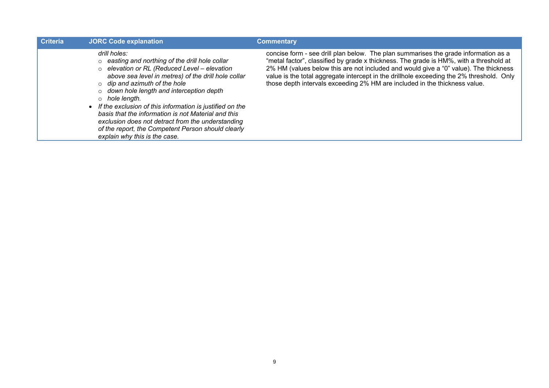| <b>Criteria</b> | <b>JORC Code explanation</b>                                                                                                                                                                                                                                                                                                                                                                                                                                                                                                                                        | <b>Commentary</b>                                                                                                                                                                                                                                                                                                                                                                                                                               |
|-----------------|---------------------------------------------------------------------------------------------------------------------------------------------------------------------------------------------------------------------------------------------------------------------------------------------------------------------------------------------------------------------------------------------------------------------------------------------------------------------------------------------------------------------------------------------------------------------|-------------------------------------------------------------------------------------------------------------------------------------------------------------------------------------------------------------------------------------------------------------------------------------------------------------------------------------------------------------------------------------------------------------------------------------------------|
|                 | drill holes:<br>$\circ$ easting and northing of the drill hole collar<br>$\circ$ elevation or RL (Reduced Level – elevation<br>above sea level in metres) of the drill hole collar<br>$\circ$ dip and azimuth of the hole<br>$\circ$ down hole length and interception depth<br>$\circ$ hole length.<br>If the exclusion of this information is justified on the<br>basis that the information is not Material and this<br>exclusion does not detract from the understanding<br>of the report, the Competent Person should clearly<br>explain why this is the case. | concise form - see drill plan below. The plan summarises the grade information as a<br>"metal factor", classified by grade x thickness. The grade is HM%, with a threshold at<br>2% HM (values below this are not included and would give a "0" value). The thickness<br>value is the total aggregate intercept in the drillhole exceeding the 2% threshold. Only<br>those depth intervals exceeding 2% HM are included in the thickness value. |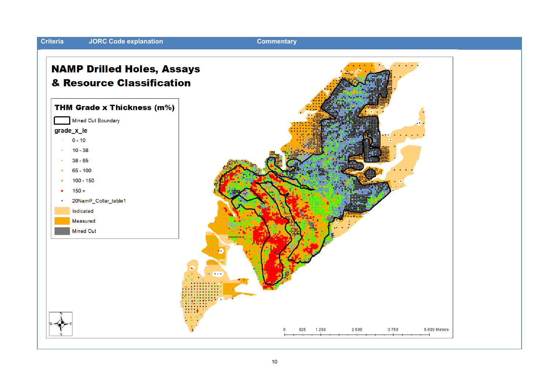

#### 10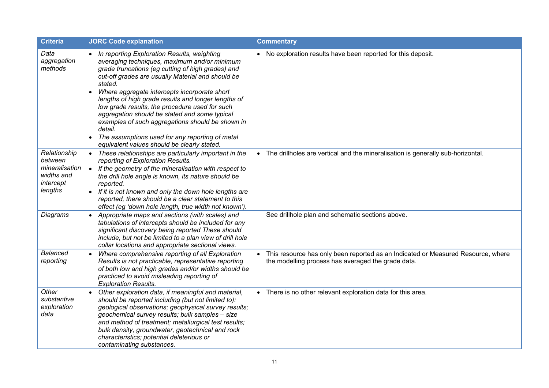| <b>Criteria</b>                                                                 | <b>JORC Code explanation</b>                                                                                                                                                                                                                                                                                                                                                                                                                                                                                                                                                                                            | <b>Commentary</b>                                                                                                                                   |
|---------------------------------------------------------------------------------|-------------------------------------------------------------------------------------------------------------------------------------------------------------------------------------------------------------------------------------------------------------------------------------------------------------------------------------------------------------------------------------------------------------------------------------------------------------------------------------------------------------------------------------------------------------------------------------------------------------------------|-----------------------------------------------------------------------------------------------------------------------------------------------------|
| Data<br>aggregation<br>methods                                                  | • In reporting Exploration Results, weighting<br>averaging techniques, maximum and/or minimum<br>grade truncations (eg cutting of high grades) and<br>cut-off grades are usually Material and should be<br>stated.<br>Where aggregate intercepts incorporate short<br>$\bullet$<br>lengths of high grade results and longer lengths of<br>low grade results, the procedure used for such<br>aggregation should be stated and some typical<br>examples of such aggregations should be shown in<br>detail.<br>The assumptions used for any reporting of metal<br>$\bullet$<br>equivalent values should be clearly stated. | • No exploration results have been reported for this deposit.                                                                                       |
| Relationship<br>between<br>mineralisation<br>widths and<br>intercept<br>lengths | • These relationships are particularly important in the<br>reporting of Exploration Results.<br>If the geometry of the mineralisation with respect to<br>$\bullet$<br>the drill hole angle is known, its nature should be<br>reported.<br>• If it is not known and only the down hole lengths are<br>reported, there should be a clear statement to this<br>effect (eg 'down hole length, true width not known').                                                                                                                                                                                                       | • The drillholes are vertical and the mineralisation is generally sub-horizontal.                                                                   |
| <b>Diagrams</b>                                                                 | • Appropriate maps and sections (with scales) and<br>tabulations of intercepts should be included for any<br>significant discovery being reported These should<br>include, but not be limited to a plan view of drill hole<br>collar locations and appropriate sectional views.                                                                                                                                                                                                                                                                                                                                         | See drillhole plan and schematic sections above.                                                                                                    |
| <b>Balanced</b><br>reporting                                                    | Where comprehensive reporting of all Exploration<br>Results is not practicable, representative reporting<br>of both low and high grades and/or widths should be<br>practiced to avoid misleading reporting of<br><b>Exploration Results.</b>                                                                                                                                                                                                                                                                                                                                                                            | This resource has only been reported as an Indicated or Measured Resource, where<br>$\bullet$<br>the modelling process has averaged the grade data. |
| Other<br>substantive<br>exploration<br>data                                     | Other exploration data, if meaningful and material,<br>should be reported including (but not limited to):<br>geological observations; geophysical survey results;<br>geochemical survey results; bulk samples - size<br>and method of treatment; metallurgical test results;<br>bulk density, groundwater, geotechnical and rock<br>characteristics; potential deleterious or<br>contaminating substances.                                                                                                                                                                                                              | • There is no other relevant exploration data for this area.                                                                                        |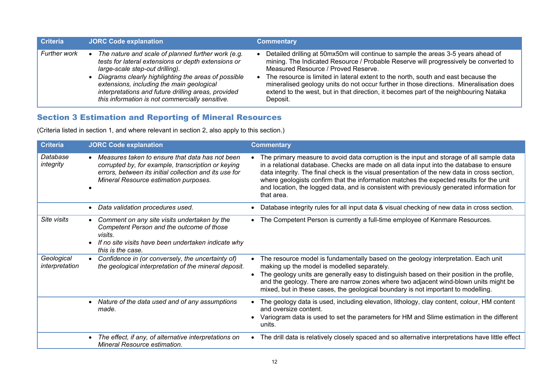| <b>Criteria</b>     | <b>JORC Code explanation</b>                                                                                                                                                                                                                                                                                                                               | <b>Commentary</b>                                                                                                                                                                                                                                                                                                                                                                                                                                                                                      |
|---------------------|------------------------------------------------------------------------------------------------------------------------------------------------------------------------------------------------------------------------------------------------------------------------------------------------------------------------------------------------------------|--------------------------------------------------------------------------------------------------------------------------------------------------------------------------------------------------------------------------------------------------------------------------------------------------------------------------------------------------------------------------------------------------------------------------------------------------------------------------------------------------------|
| <b>Further work</b> | The nature and scale of planned further work (e.g.<br>tests for lateral extensions or depth extensions or<br>large-scale step-out drilling).<br>Diagrams clearly highlighting the areas of possible<br>extensions, including the main geological<br>interpretations and future drilling areas, provided<br>this information is not commercially sensitive. | Detailed drilling at 50mx50m will continue to sample the areas 3-5 years ahead of<br>mining. The Indicated Resource / Probable Reserve will progressively be converted to<br>Measured Resource / Proved Reserve.<br>The resource is limited in lateral extent to the north, south and east because the<br>mineralised geology units do not occur further in those directions. Mineralisation does<br>extend to the west, but in that direction, it becomes part of the neighbouring Nataka<br>Deposit. |

## Section 3 Estimation and Reporting of Mineral Resources

(Criteria listed in section 1, and where relevant in section 2, also apply to this section.)

| <b>Criteria</b>              | <b>JORC Code explanation</b>                                                                                                                                                                             | <b>Commentary</b>                                                                                                                                                                                                                                                                                                                                                                                                                                                                          |
|------------------------------|----------------------------------------------------------------------------------------------------------------------------------------------------------------------------------------------------------|--------------------------------------------------------------------------------------------------------------------------------------------------------------------------------------------------------------------------------------------------------------------------------------------------------------------------------------------------------------------------------------------------------------------------------------------------------------------------------------------|
| Database<br>integrity        | Measures taken to ensure that data has not been<br>corrupted by, for example, transcription or keying<br>errors, between its initial collection and its use for<br>Mineral Resource estimation purposes. | The primary measure to avoid data corruption is the input and storage of all sample data<br>in a relational database. Checks are made on all data input into the database to ensure<br>data integrity. The final check is the visual presentation of the new data in cross section,<br>where geologists confirm that the information matches the expected results for the unit<br>and location, the logged data, and is consistent with previously generated information for<br>that area. |
|                              | Data validation procedures used.                                                                                                                                                                         | Database integrity rules for all input data & visual checking of new data in cross section.                                                                                                                                                                                                                                                                                                                                                                                                |
| Site visits                  | Comment on any site visits undertaken by the<br>Competent Person and the outcome of those<br>visits.<br>If no site visits have been undertaken indicate why<br>this is the case.                         | The Competent Person is currently a full-time employee of Kenmare Resources.<br>$\bullet$                                                                                                                                                                                                                                                                                                                                                                                                  |
| Geological<br>interpretation | Confidence in (or conversely, the uncertainty of)<br>the geological interpretation of the mineral deposit.                                                                                               | The resource model is fundamentally based on the geology interpretation. Each unit<br>making up the model is modelled separately.<br>The geology units are generally easy to distinguish based on their position in the profile,<br>and the geology. There are narrow zones where two adjacent wind-blown units might be<br>mixed, but in these cases, the geological boundary is not important to modelling.                                                                              |
|                              | Nature of the data used and of any assumptions<br>made.                                                                                                                                                  | The geology data is used, including elevation, lithology, clay content, colour, HM content<br>and oversize content.<br>Variogram data is used to set the parameters for HM and Slime estimation in the different<br>units.                                                                                                                                                                                                                                                                 |
|                              | The effect, if any, of alternative interpretations on<br>$\bullet$<br>Mineral Resource estimation.                                                                                                       | The drill data is relatively closely spaced and so alternative interpretations have little effect<br>$\bullet$                                                                                                                                                                                                                                                                                                                                                                             |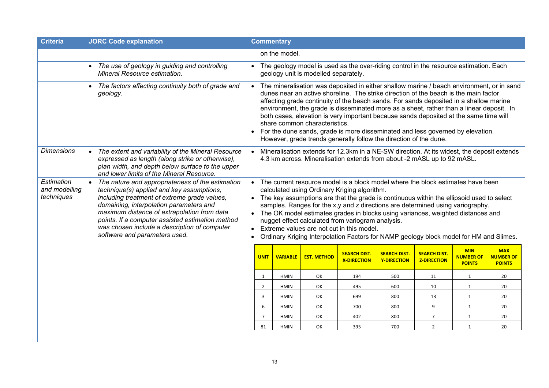| The geology model is used as the over-riding control in the resource estimation. Each                                                                                                                                                                                                                                                                                                                                                                 |                                                                                           |
|-------------------------------------------------------------------------------------------------------------------------------------------------------------------------------------------------------------------------------------------------------------------------------------------------------------------------------------------------------------------------------------------------------------------------------------------------------|-------------------------------------------------------------------------------------------|
|                                                                                                                                                                                                                                                                                                                                                                                                                                                       |                                                                                           |
|                                                                                                                                                                                                                                                                                                                                                                                                                                                       |                                                                                           |
| dunes near an active shoreline. The strike direction of the beach is the main factor<br>affecting grade continuity of the beach sands. For sands deposited in a shallow marine<br>environment, the grade is disseminated more as a sheet, rather than a linear deposit. In<br>both cases, elevation is very important because sands deposited at the same time will<br>For the dune sands, grade is more disseminated and less governed by elevation. | The mineralisation was deposited in either shallow marine / beach environment, or in sand |
| Mineralisation extends for 12.3km in a NE-SW direction. At its widest, the deposit extends<br>4.3 km across. Mineralisation extends from about -2 mASL up to 92 mASL.                                                                                                                                                                                                                                                                                 |                                                                                           |
| The key assumptions are that the grade is continuous within the ellipsoid used to select<br>samples. Ranges for the x,y and z directions are determined using variography.<br>The OK model estimates grades in blocks using variances, weighted distances and<br>Ordinary Kriging Interpolation Factors for NAMP geology block model for HM and Slimes.                                                                                               |                                                                                           |
| <b>MIN</b><br><b>NUMBER OF</b><br><b>POINTS</b>                                                                                                                                                                                                                                                                                                                                                                                                       | <b>MAX</b><br><b>NUMBER OF</b><br><b>POINTS</b>                                           |
| 1                                                                                                                                                                                                                                                                                                                                                                                                                                                     | 20                                                                                        |
| $\mathbf{1}$                                                                                                                                                                                                                                                                                                                                                                                                                                          | 20                                                                                        |
| $\mathbf{1}$                                                                                                                                                                                                                                                                                                                                                                                                                                          | 20                                                                                        |
| $\mathbf{1}$                                                                                                                                                                                                                                                                                                                                                                                                                                          | 20                                                                                        |
| $\mathbf{1}$                                                                                                                                                                                                                                                                                                                                                                                                                                          | 20                                                                                        |
| $\mathbf{1}$                                                                                                                                                                                                                                                                                                                                                                                                                                          | 20                                                                                        |
|                                                                                                                                                                                                                                                                                                                                                                                                                                                       | The current resource model is a block model where the block estimates have been           |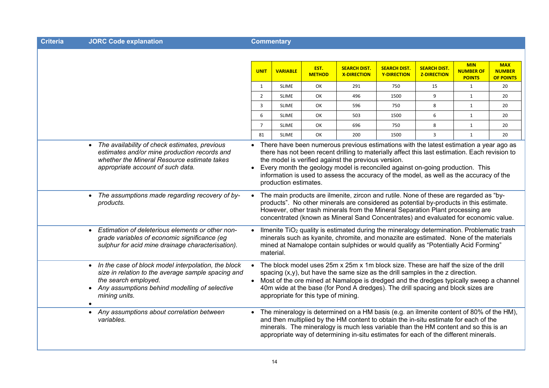| ำriteria∶ |  |  |  | <b>JORC Code explanatior</b> |
|-----------|--|--|--|------------------------------|
|-----------|--|--|--|------------------------------|

**Commentary** 

|                                                                                                                                                                                                                               | <b>UNIT</b>    | <b>VARIABLE</b>       | EST.<br><b>METHOD</b>                | <b>SEARCH DIST.</b><br><b>X-DIRECTION</b>                                                                                                                                                                                                                                                                                                                                                                                     | <b>SEARCH DIST.</b><br>Y-DIRECTION | <b>SEARCH DIST.</b><br><b>Z-DIRECTION</b> | <b>MIN</b><br><b>NUMBER OF</b><br><b>POINTS</b> | <b>MAX</b><br><b>NUMBER</b><br><b>OF POINTS</b> |
|-------------------------------------------------------------------------------------------------------------------------------------------------------------------------------------------------------------------------------|----------------|-----------------------|--------------------------------------|-------------------------------------------------------------------------------------------------------------------------------------------------------------------------------------------------------------------------------------------------------------------------------------------------------------------------------------------------------------------------------------------------------------------------------|------------------------------------|-------------------------------------------|-------------------------------------------------|-------------------------------------------------|
|                                                                                                                                                                                                                               | $\mathbf{1}$   | <b>SLIME</b>          | OK                                   | 291                                                                                                                                                                                                                                                                                                                                                                                                                           | 750                                | 15                                        | $\mathbf{1}$                                    | 20                                              |
|                                                                                                                                                                                                                               | $\overline{2}$ | <b>SLIME</b>          | OK                                   | 496                                                                                                                                                                                                                                                                                                                                                                                                                           | 1500                               | 9                                         | $\mathbf{1}$                                    | 20                                              |
|                                                                                                                                                                                                                               | 3              | <b>SLIME</b>          | OK                                   | 596                                                                                                                                                                                                                                                                                                                                                                                                                           | 750                                | 8                                         | $\mathbf{1}$                                    | 20                                              |
|                                                                                                                                                                                                                               | 6              | <b>SLIME</b>          | OK                                   | 503                                                                                                                                                                                                                                                                                                                                                                                                                           | 1500                               | 6                                         | $\mathbf{1}$                                    | 20                                              |
|                                                                                                                                                                                                                               | $\overline{7}$ | <b>SLIME</b>          | OK                                   | 696                                                                                                                                                                                                                                                                                                                                                                                                                           | 750                                | 8                                         | 1                                               | 20                                              |
|                                                                                                                                                                                                                               | 81             | <b>SLIME</b>          | OK                                   | 200                                                                                                                                                                                                                                                                                                                                                                                                                           | 1500                               | 3                                         | $\mathbf{1}$                                    | 20                                              |
| • The availability of check estimates, previous<br>estimates and/or mine production records and<br>whether the Mineral Resource estimate takes<br>appropriate account of such data.                                           |                | production estimates. |                                      | • There have been numerous previous estimations with the latest estimation a year ago as<br>there has not been recent drilling to materially affect this last estimation. Each revision to<br>the model is verified against the previous version.<br>Every month the geology model is reconciled against on-going production. This<br>information is used to assess the accuracy of the model, as well as the accuracy of the |                                    |                                           |                                                 |                                                 |
| The assumptions made regarding recovery of by-<br>products.                                                                                                                                                                   |                |                       |                                      | The main products are ilmenite, zircon and rutile. None of these are regarded as "by-<br>products". No other minerals are considered as potential by-products in this estimate.<br>However, other trash minerals from the Mineral Separation Plant processing are<br>concentrated (known as Mineral Sand Concentrates) and evaluated for economic value.                                                                      |                                    |                                           |                                                 |                                                 |
| Estimation of deleterious elements or other non-<br>$\bullet$<br>grade variables of economic significance (eg<br>sulphur for acid mine drainage characterisation).                                                            |                | material.             |                                      | Ilmenite TiO <sub>2</sub> quality is estimated during the mineralogy determination. Problematic trash<br>minerals such as kyanite, chromite, and monazite are estimated. None of the materials<br>mined at Namalope contain sulphides or would qualify as "Potentially Acid Forming"                                                                                                                                          |                                    |                                           |                                                 |                                                 |
| In the case of block model interpolation, the block<br>$\bullet$<br>size in relation to the average sample spacing and<br>the search employed.<br>Any assumptions behind modelling of selective<br>mining units.<br>$\bullet$ | $\bullet$      |                       | appropriate for this type of mining. | The block model uses 25m x 25m x 1m block size. These are half the size of the drill<br>spacing $(x,y)$ , but have the same size as the drill samples in the z direction.<br>Most of the ore mined at Namalope is dredged and the dredges typically sweep a channel<br>40m wide at the base (for Pond A dredges). The drill spacing and block sizes are                                                                       |                                    |                                           |                                                 |                                                 |
| Any assumptions about correlation between<br>$\bullet$<br>variables.                                                                                                                                                          | $\bullet$      |                       |                                      | The mineralogy is determined on a HM basis (e.g. an ilmenite content of 80% of the HM),<br>and then multiplied by the HM content to obtain the in-situ estimate for each of the<br>minerals. The mineralogy is much less variable than the HM content and so this is an<br>appropriate way of determining in-situ estimates for each of the different minerals.                                                               |                                    |                                           |                                                 |                                                 |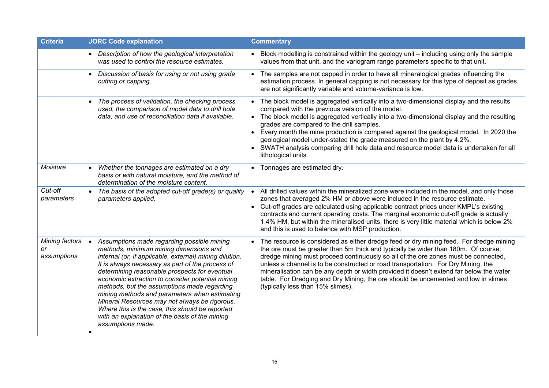| <b>Criteria</b>                     | <b>JORC Code explanation</b>                                                                                                                                                                                                                                                                                                                                                                                                                                                                                                                                                                     | <b>Commentary</b>                                                                                                                                                                                                                                                                                                                                                                                                                                                                                                                                                                |
|-------------------------------------|--------------------------------------------------------------------------------------------------------------------------------------------------------------------------------------------------------------------------------------------------------------------------------------------------------------------------------------------------------------------------------------------------------------------------------------------------------------------------------------------------------------------------------------------------------------------------------------------------|----------------------------------------------------------------------------------------------------------------------------------------------------------------------------------------------------------------------------------------------------------------------------------------------------------------------------------------------------------------------------------------------------------------------------------------------------------------------------------------------------------------------------------------------------------------------------------|
|                                     | • Description of how the geological interpretation<br>was used to control the resource estimates.                                                                                                                                                                                                                                                                                                                                                                                                                                                                                                | • Block modelling is constrained within the geology unit – including using only the sample<br>values from that unit, and the variogram range parameters specific to that unit.                                                                                                                                                                                                                                                                                                                                                                                                   |
|                                     | Discussion of basis for using or not using grade<br>$\bullet$<br>cutting or capping.                                                                                                                                                                                                                                                                                                                                                                                                                                                                                                             | • The samples are not capped in order to have all mineralogical grades influencing the<br>estimation process. In general capping is not necessary for this type of deposit as grades<br>are not significantly variable and volume-variance is low.                                                                                                                                                                                                                                                                                                                               |
|                                     | The process of validation, the checking process<br>$\bullet$<br>used, the comparison of model data to drill hole<br>data, and use of reconciliation data if available.                                                                                                                                                                                                                                                                                                                                                                                                                           | • The block model is aggregated vertically into a two-dimensional display and the results<br>compared with the previous version of the model.<br>• The block model is aggregated vertically into a two-dimensional display and the resulting<br>grades are compared to the drill samples.<br>• Every month the mine production is compared against the geological model. In 2020 the<br>geological model under-stated the grade measured on the plant by 4.2%.<br>• SWATH analysis comparing drill hole data and resource model data is undertaken for all<br>lithological units |
| Moisture                            | Whether the tonnages are estimated on a dry<br>basis or with natural moisture, and the method of<br>determination of the moisture content.                                                                                                                                                                                                                                                                                                                                                                                                                                                       | • Tonnages are estimated dry.                                                                                                                                                                                                                                                                                                                                                                                                                                                                                                                                                    |
| Cut-off<br>parameters               | The basis of the adopted cut-off grade(s) or quality<br>$\bullet$<br>parameters applied.                                                                                                                                                                                                                                                                                                                                                                                                                                                                                                         | All drilled values within the mineralized zone were included in the model, and only those<br>$\bullet$<br>zones that averaged 2% HM or above were included in the resource estimate.<br>Cut-off grades are calculated using applicable contract prices under KMPL's existing<br>$\bullet$<br>contracts and current operating costs. The marginal economic cut-off grade is actually<br>1.4% HM, but within the mineralised units, there is very little material which is below 2%<br>and this is used to balance with MSP production.                                            |
| Mining factors<br>or<br>assumptions | Assumptions made regarding possible mining<br>$\bullet$<br>methods, minimum mining dimensions and<br>internal (or, if applicable, external) mining dilution.<br>It is always necessary as part of the process of<br>determining reasonable prospects for eventual<br>economic extraction to consider potential mining<br>methods, but the assumptions made regarding<br>mining methods and parameters when estimating<br>Mineral Resources may not always be rigorous.<br>Where this is the case, this should be reported<br>with an explanation of the basis of the mining<br>assumptions made. | The resource is considered as either dredge feed or dry mining feed. For dredge mining<br>the ore must be greater than 5m thick and typically be wider than 180m. Of course,<br>dredge mining must proceed continuously so all of the ore zones must be connected,<br>unless a channel is to be constructed or road transportation. For Dry Mining, the<br>mineralisation can be any depth or width provided it doesn't extend far below the water<br>table. For Dredging and Dry Mining, the ore should be uncemented and low in slimes<br>(typically less than 15% slimes).    |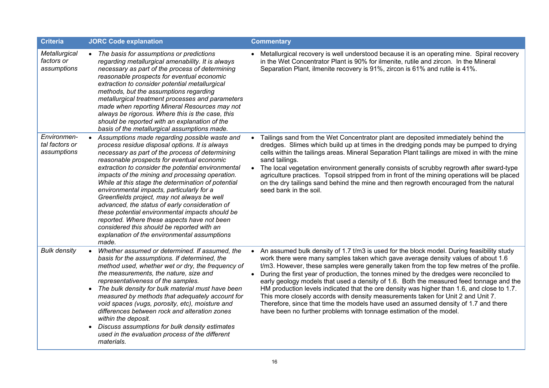| <b>Criteria</b>                              | <b>JORC Code explanation</b>                                                                                                                                                                                                                                                                                                                                                                                                                                                                                                                                                                                                                                                                                           | <b>Commentary</b>                                                                                                                                                                                                                                                                                                                                                                                                                                                                                                                                                                                                                                                                                                                                                                                                   |
|----------------------------------------------|------------------------------------------------------------------------------------------------------------------------------------------------------------------------------------------------------------------------------------------------------------------------------------------------------------------------------------------------------------------------------------------------------------------------------------------------------------------------------------------------------------------------------------------------------------------------------------------------------------------------------------------------------------------------------------------------------------------------|---------------------------------------------------------------------------------------------------------------------------------------------------------------------------------------------------------------------------------------------------------------------------------------------------------------------------------------------------------------------------------------------------------------------------------------------------------------------------------------------------------------------------------------------------------------------------------------------------------------------------------------------------------------------------------------------------------------------------------------------------------------------------------------------------------------------|
| Metallurgical<br>factors or<br>assumptions   | • The basis for assumptions or predictions<br>regarding metallurgical amenability. It is always<br>necessary as part of the process of determining<br>reasonable prospects for eventual economic<br>extraction to consider potential metallurgical<br>methods, but the assumptions regarding<br>metallurgical treatment processes and parameters<br>made when reporting Mineral Resources may not<br>always be rigorous. Where this is the case, this<br>should be reported with an explanation of the<br>basis of the metallurgical assumptions made.                                                                                                                                                                 | • Metallurgical recovery is well understood because it is an operating mine. Spiral recovery<br>in the Wet Concentrator Plant is 90% for ilmenite, rutile and zircon. In the Mineral<br>Separation Plant, ilmenite recovery is 91%, zircon is 61% and rutile is 41%.                                                                                                                                                                                                                                                                                                                                                                                                                                                                                                                                                |
| Environmen-<br>tal factors or<br>assumptions | Assumptions made regarding possible waste and<br>process residue disposal options. It is always<br>necessary as part of the process of determining<br>reasonable prospects for eventual economic<br>extraction to consider the potential environmental<br>impacts of the mining and processing operation.<br>While at this stage the determination of potential<br>environmental impacts, particularly for a<br>Greenfields project, may not always be well<br>advanced, the status of early consideration of<br>these potential environmental impacts should be<br>reported. Where these aspects have not been<br>considered this should be reported with an<br>explanation of the environmental assumptions<br>made. | • Tailings sand from the Wet Concentrator plant are deposited immediately behind the<br>dredges. Slimes which build up at times in the dredging ponds may be pumped to drying<br>cells within the tailings areas. Mineral Separation Plant tailings are mixed in with the mine<br>sand tailings.<br>The local vegetation environment generally consists of scrubby regrowth after sward-type<br>$\bullet$<br>agriculture practices. Topsoil stripped from in front of the mining operations will be placed<br>on the dry tailings sand behind the mine and then regrowth encouraged from the natural<br>seed bank in the soil.                                                                                                                                                                                      |
| <b>Bulk density</b>                          | Whether assumed or determined. If assumed, the<br>$\bullet$<br>basis for the assumptions. If determined, the<br>method used, whether wet or dry, the frequency of<br>the measurements, the nature, size and<br>representativeness of the samples.<br>The bulk density for bulk material must have been<br>$\bullet$<br>measured by methods that adequately account for<br>void spaces (vugs, porosity, etc), moisture and<br>differences between rock and alteration zones<br>within the deposit.<br>Discuss assumptions for bulk density estimates<br>used in the evaluation process of the different<br>materials.                                                                                                   | • An assumed bulk density of 1.7 t/m3 is used for the block model. During feasibility study<br>work there were many samples taken which gave average density values of about 1.6<br>t/m3. However, these samples were generally taken from the top few metres of the profile.<br>During the first year of production, the tonnes mined by the dredges were reconciled to<br>early geology models that used a density of 1.6. Both the measured feed tonnage and the<br>HM production levels indicated that the ore density was higher than 1.6, and close to 1.7.<br>This more closely accords with density measurements taken for Unit 2 and Unit 7.<br>Therefore, since that time the models have used an assumed density of 1.7 and there<br>have been no further problems with tonnage estimation of the model. |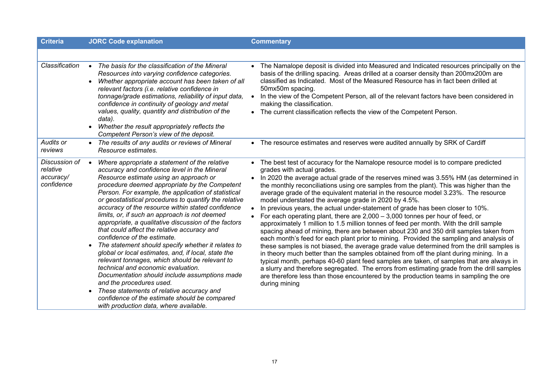| <b>Criteria</b>                                      | <b>JORC Code explanation</b>                                                                                                                                                                                                                                                                                                                                                                                                                                                                                                                                                                                                                                                                                                                                                                                                                                                                                                                                                                | <b>Commentary</b>                                                                                                                                                                                                                                                                                                                                                                                                                                                                                                                                                                                                                                                                                                                                                                                                                                                                                                                                                                                                                                                                                                                                                                                                                                                                                                                                                                                   |
|------------------------------------------------------|---------------------------------------------------------------------------------------------------------------------------------------------------------------------------------------------------------------------------------------------------------------------------------------------------------------------------------------------------------------------------------------------------------------------------------------------------------------------------------------------------------------------------------------------------------------------------------------------------------------------------------------------------------------------------------------------------------------------------------------------------------------------------------------------------------------------------------------------------------------------------------------------------------------------------------------------------------------------------------------------|-----------------------------------------------------------------------------------------------------------------------------------------------------------------------------------------------------------------------------------------------------------------------------------------------------------------------------------------------------------------------------------------------------------------------------------------------------------------------------------------------------------------------------------------------------------------------------------------------------------------------------------------------------------------------------------------------------------------------------------------------------------------------------------------------------------------------------------------------------------------------------------------------------------------------------------------------------------------------------------------------------------------------------------------------------------------------------------------------------------------------------------------------------------------------------------------------------------------------------------------------------------------------------------------------------------------------------------------------------------------------------------------------------|
|                                                      |                                                                                                                                                                                                                                                                                                                                                                                                                                                                                                                                                                                                                                                                                                                                                                                                                                                                                                                                                                                             |                                                                                                                                                                                                                                                                                                                                                                                                                                                                                                                                                                                                                                                                                                                                                                                                                                                                                                                                                                                                                                                                                                                                                                                                                                                                                                                                                                                                     |
| Classification                                       | The basis for the classification of the Mineral<br>$\bullet$<br>Resources into varying confidence categories.<br>Whether appropriate account has been taken of all<br>relevant factors (i.e. relative confidence in<br>tonnage/grade estimations, reliability of input data,<br>confidence in continuity of geology and metal<br>values, quality, quantity and distribution of the<br>data).<br>Whether the result appropriately reflects the<br>Competent Person's view of the deposit.                                                                                                                                                                                                                                                                                                                                                                                                                                                                                                    | • The Namalope deposit is divided into Measured and Indicated resources principally on the<br>basis of the drilling spacing. Areas drilled at a coarser density than 200mx200m are<br>classified as Indicated. Most of the Measured Resource has in fact been drilled at<br>50mx50m spacing.<br>In the view of the Competent Person, all of the relevant factors have been considered in<br>$\bullet$<br>making the classification.<br>• The current classification reflects the view of the Competent Person.                                                                                                                                                                                                                                                                                                                                                                                                                                                                                                                                                                                                                                                                                                                                                                                                                                                                                      |
| Audits or<br>reviews                                 | • The results of any audits or reviews of Mineral<br>Resource estimates.                                                                                                                                                                                                                                                                                                                                                                                                                                                                                                                                                                                                                                                                                                                                                                                                                                                                                                                    | • The resource estimates and reserves were audited annually by SRK of Cardiff                                                                                                                                                                                                                                                                                                                                                                                                                                                                                                                                                                                                                                                                                                                                                                                                                                                                                                                                                                                                                                                                                                                                                                                                                                                                                                                       |
| Discussion of<br>relative<br>accuracy/<br>confidence | Where appropriate a statement of the relative<br>accuracy and confidence level in the Mineral<br>Resource estimate using an approach or<br>procedure deemed appropriate by the Competent<br>Person. For example, the application of statistical<br>or geostatistical procedures to quantify the relative<br>accuracy of the resource within stated confidence<br>limits, or, if such an approach is not deemed<br>appropriate, a qualitative discussion of the factors<br>that could affect the relative accuracy and<br>confidence of the estimate.<br>The statement should specify whether it relates to<br>global or local estimates, and, if local, state the<br>relevant tonnages, which should be relevant to<br>technical and economic evaluation.<br>Documentation should include assumptions made<br>and the procedures used.<br>These statements of relative accuracy and<br>$\bullet$<br>confidence of the estimate should be compared<br>with production data, where available. | • The best test of accuracy for the Namalope resource model is to compare predicted<br>grades with actual grades.<br>• In 2020 the average actual grade of the reserves mined was 3.55% HM (as determined in<br>the monthly reconciliations using ore samples from the plant). This was higher than the<br>average grade of the equivalent material in the resource model 3.23%. The resource<br>model understated the average grade in 2020 by 4.5%.<br>In previous years, the actual under-statement of grade has been closer to 10%.<br>For each operating plant, there are $2,000 - 3,000$ tonnes per hour of feed, or<br>approximately 1 million to 1.5 million tonnes of feed per month. With the drill sample<br>spacing ahead of mining, there are between about 230 and 350 drill samples taken from<br>each month's feed for each plant prior to mining. Provided the sampling and analysis of<br>these samples is not biased, the average grade value determined from the drill samples is<br>in theory much better than the samples obtained from off the plant during mining. In a<br>typical month, perhaps 40-60 plant feed samples are taken, of samples that are always in<br>a slurry and therefore segregated. The errors from estimating grade from the drill samples<br>are therefore less than those encountered by the production teams in sampling the ore<br>during mining |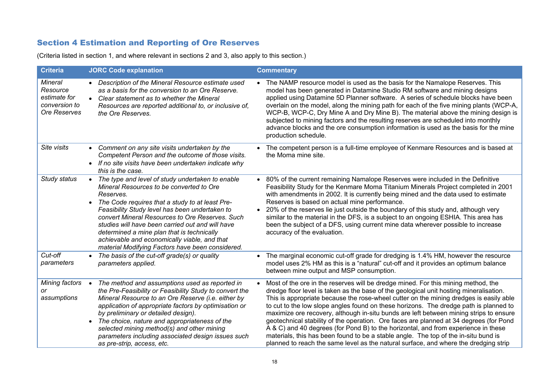## Section 4 Estimation and Reporting of Ore Reserves

(Criteria listed in section 1, and where relevant in sections 2 and 3, also apply to this section.)

| <b>Criteria</b>                                                             | <b>JORC Code explanation</b>                                                                                                                                                                                                                                                                                                                                                                                                                                                           | <b>Commentary</b>                                                                                                                                                                                                                                                                                                                                                                                                                                                                                                                                                                                                                                                                                                                                                                                                                    |
|-----------------------------------------------------------------------------|----------------------------------------------------------------------------------------------------------------------------------------------------------------------------------------------------------------------------------------------------------------------------------------------------------------------------------------------------------------------------------------------------------------------------------------------------------------------------------------|--------------------------------------------------------------------------------------------------------------------------------------------------------------------------------------------------------------------------------------------------------------------------------------------------------------------------------------------------------------------------------------------------------------------------------------------------------------------------------------------------------------------------------------------------------------------------------------------------------------------------------------------------------------------------------------------------------------------------------------------------------------------------------------------------------------------------------------|
| <b>Mineral</b><br>Resource<br>estimate for<br>conversion to<br>Ore Reserves | Description of the Mineral Resource estimate used<br>as a basis for the conversion to an Ore Reserve.<br>Clear statement as to whether the Mineral<br>$\bullet$<br>Resources are reported additional to, or inclusive of,<br>the Ore Reserves.                                                                                                                                                                                                                                         | The NAMP resource model is used as the basis for the Namalope Reserves. This<br>model has been generated in Datamine Studio RM software and mining designs<br>applied using Datamine 5D Planner software. A series of schedule blocks have been<br>overlain on the model, along the mining path for each of the five mining plants (WCP-A,<br>WCP-B, WCP-C, Dry Mine A and Dry Mine B). The material above the mining design is<br>subjected to mining factors and the resulting reserves are scheduled into monthly<br>advance blocks and the ore consumption information is used as the basis for the mine<br>production schedule.                                                                                                                                                                                                 |
| Site visits                                                                 | • Comment on any site visits undertaken by the<br>Competent Person and the outcome of those visits.<br>If no site visits have been undertaken indicate why<br>$\bullet$<br>this is the case.                                                                                                                                                                                                                                                                                           | The competent person is a full-time employee of Kenmare Resources and is based at<br>$\bullet$<br>the Moma mine site.                                                                                                                                                                                                                                                                                                                                                                                                                                                                                                                                                                                                                                                                                                                |
| Study status                                                                | The type and level of study undertaken to enable<br>$\bullet$<br>Mineral Resources to be converted to Ore<br>Reserves.<br>• The Code requires that a study to at least Pre-<br>Feasibility Study level has been undertaken to<br>convert Mineral Resources to Ore Reserves. Such<br>studies will have been carried out and will have<br>determined a mine plan that is technically<br>achievable and economically viable, and that<br>material Modifying Factors have been considered. | 80% of the current remaining Namalope Reserves were included in the Definitive<br>$\bullet$<br>Feasibility Study for the Kenmare Moma Titanium Minerals Project completed in 2001<br>with amendments in 2002. It is currently being mined and the data used to estimate<br>Reserves is based on actual mine performance.<br>20% of the reserves lie just outside the boundary of this study and, although very<br>$\bullet$<br>similar to the material in the DFS, is a subject to an ongoing ESHIA. This area has<br>been the subject of a DFS, using current mine data wherever possible to increase<br>accuracy of the evaluation.                                                                                                                                                                                                |
| Cut-off<br>parameters                                                       | The basis of the cut-off grade(s) or quality<br>$\bullet$<br>parameters applied.                                                                                                                                                                                                                                                                                                                                                                                                       | The marginal economic cut-off grade for dredging is 1.4% HM, however the resource<br>$\bullet$<br>model uses 2% HM as this is a "natural" cut-off and it provides an optimum balance<br>between mine output and MSP consumption.                                                                                                                                                                                                                                                                                                                                                                                                                                                                                                                                                                                                     |
| Mining factors<br>or<br>assumptions                                         | The method and assumptions used as reported in<br>$\bullet$<br>the Pre-Feasibility or Feasibility Study to convert the<br>Mineral Resource to an Ore Reserve (i.e. either by<br>application of appropriate factors by optimisation or<br>by preliminary or detailed design).<br>The choice, nature and appropriateness of the<br>$\bullet$<br>selected mining method(s) and other mining<br>parameters including associated design issues such<br>as pre-strip, access, etc.           | Most of the ore in the reserves will be dredge mined. For this mining method, the<br>$\bullet$<br>dredge floor level is taken as the base of the geological unit hosting mineralisation.<br>This is appropriate because the rose-wheel cutter on the mining dredges is easily able<br>to cut to the low slope angles found on these horizons. The dredge path is planned to<br>maximize ore recovery, although in-situ bunds are left between mining strips to ensure<br>geotechnical stability of the operation. Ore faces are planned at 34 degrees (for Pond<br>A & C) and 40 degrees (for Pond B) to the horizontal, and from experience in these<br>materials, this has been found to be a stable angle. The top of the in-situ bund is<br>planned to reach the same level as the natural surface, and where the dredging strip |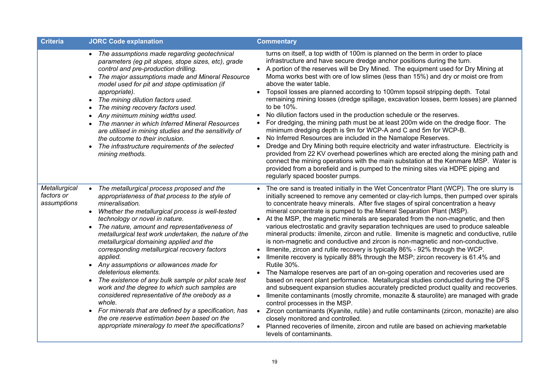| <b>Criteria</b>                            | <b>JORC Code explanation</b>                                                                                                                                                                                                                                                                                                                                                                                                                                                                                                                                                                                                                                                                                                                                                                                                                                          | <b>Commentary</b>                                                                                                                                                                                                                                                                                                                                                                                                                                                                                                                                                                                                                                                                                                                                                                                                                                                                                                                                                                                                                                                                                                                                                                                                                                                                                                                                                                                                                                                                                                                                           |
|--------------------------------------------|-----------------------------------------------------------------------------------------------------------------------------------------------------------------------------------------------------------------------------------------------------------------------------------------------------------------------------------------------------------------------------------------------------------------------------------------------------------------------------------------------------------------------------------------------------------------------------------------------------------------------------------------------------------------------------------------------------------------------------------------------------------------------------------------------------------------------------------------------------------------------|-------------------------------------------------------------------------------------------------------------------------------------------------------------------------------------------------------------------------------------------------------------------------------------------------------------------------------------------------------------------------------------------------------------------------------------------------------------------------------------------------------------------------------------------------------------------------------------------------------------------------------------------------------------------------------------------------------------------------------------------------------------------------------------------------------------------------------------------------------------------------------------------------------------------------------------------------------------------------------------------------------------------------------------------------------------------------------------------------------------------------------------------------------------------------------------------------------------------------------------------------------------------------------------------------------------------------------------------------------------------------------------------------------------------------------------------------------------------------------------------------------------------------------------------------------------|
|                                            | • The assumptions made regarding geotechnical<br>parameters (eg pit slopes, stope sizes, etc), grade<br>control and pre-production drilling.<br>The major assumptions made and Mineral Resource<br>$\bullet$<br>model used for pit and stope optimisation (if<br>appropriate).<br>• The mining dilution factors used.<br>The mining recovery factors used.<br>Any minimum mining widths used.<br>The manner in which Inferred Mineral Resources<br>are utilised in mining studies and the sensitivity of<br>the outcome to their inclusion.<br>The infrastructure requirements of the selected<br>mining methods.                                                                                                                                                                                                                                                     | turns on itself, a top width of 100m is planned on the berm in order to place<br>infrastructure and have secure dredge anchor positions during the turn.<br>• A portion of the reserves will be Dry Mined. The equipment used for Dry Mining at<br>Moma works best with ore of low slimes (less than 15%) and dry or moist ore from<br>above the water table.<br>Topsoil losses are planned according to 100mm topsoil stripping depth. Total<br>$\bullet$<br>remaining mining losses (dredge spillage, excavation losses, berm losses) are planned<br>to be 10%.<br>No dilution factors used in the production schedule or the reserves.<br>$\bullet$<br>For dredging, the mining path must be at least 200m wide on the dredge floor. The<br>$\bullet$<br>minimum dredging depth is 9m for WCP-A and C and 5m for WCP-B.<br>No Inferred Resources are included in the Namalope Reserves.<br>$\bullet$<br>Dredge and Dry Mining both require electricity and water infrastructure. Electricity is<br>provided from 22 KV overhead powerlines which are erected along the mining path and<br>connect the mining operations with the main substation at the Kenmare MSP. Water is<br>provided from a borefield and is pumped to the mining sites via HDPE piping and<br>regularly spaced booster pumps.                                                                                                                                                                                                                                                      |
| Metallurgical<br>factors or<br>assumptions | The metallurgical process proposed and the<br>$\bullet$<br>appropriateness of that process to the style of<br>mineralisation.<br>Whether the metallurgical process is well-tested<br>$\bullet$<br>technology or novel in nature.<br>The nature, amount and representativeness of<br>metallurgical test work undertaken, the nature of the<br>metallurgical domaining applied and the<br>corresponding metallurgical recovery factors<br>applied.<br>• Any assumptions or allowances made for<br>deleterious elements.<br>The existence of any bulk sample or pilot scale test<br>work and the degree to which such samples are<br>considered representative of the orebody as a<br>whole.<br>For minerals that are defined by a specification, has<br>$\bullet$<br>the ore reserve estimation been based on the<br>appropriate mineralogy to meet the specifications? | The ore sand is treated initially in the Wet Concentrator Plant (WCP). The ore slurry is<br>initially screened to remove any cemented or clay-rich lumps, then pumped over spirals<br>to concentrate heavy minerals. After five stages of spiral concentration a heavy<br>mineral concentrate is pumped to the Mineral Separation Plant (MSP).<br>At the MSP, the magnetic minerals are separated from the non-magnetic, and then<br>various electrostatic and gravity separation techniques are used to produce saleable<br>mineral products: ilmenite, zircon and rutile. Ilmenite is magnetic and conductive, rutile<br>is non-magnetic and conductive and zircon is non-magnetic and non-conductive.<br>Ilmenite, zircon and rutile recovery is typically 86% - 92% through the WCP.<br>Ilmenite recovery is typically 88% through the MSP; zircon recovery is 61.4% and<br>Rutile 30%.<br>The Namalope reserves are part of an on-going operation and recoveries used are<br>$\bullet$<br>based on recent plant performance. Metallurgical studies conducted during the DFS<br>and subsequent expansion studies accurately predicted product quality and recoveries.<br>Ilmenite contaminants (mostly chromite, monazite & staurolite) are managed with grade<br>control processes in the MSP.<br>• Zircon contaminants (Kyanite, rutile) and rutile contaminants (zircon, monazite) are also<br>closely monitored and controlled.<br>• Planned recoveries of ilmenite, zircon and rutile are based on achieving marketable<br>levels of contaminants. |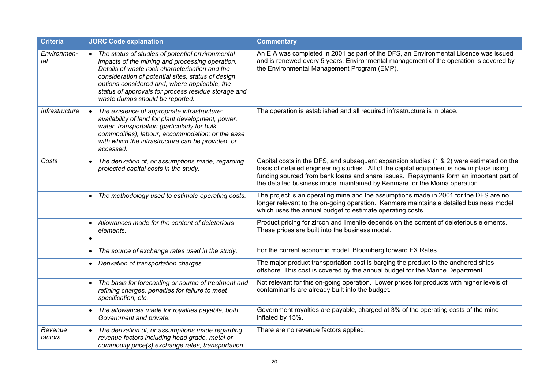| <b>Criteria</b>    | <b>JORC Code explanation</b>                                                                                                                                                                                                                                                                                                                           | <b>Commentary</b>                                                                                                                                                                                                                                                                                                                                            |
|--------------------|--------------------------------------------------------------------------------------------------------------------------------------------------------------------------------------------------------------------------------------------------------------------------------------------------------------------------------------------------------|--------------------------------------------------------------------------------------------------------------------------------------------------------------------------------------------------------------------------------------------------------------------------------------------------------------------------------------------------------------|
| Environmen-<br>tal | The status of studies of potential environmental<br>impacts of the mining and processing operation.<br>Details of waste rock characterisation and the<br>consideration of potential sites, status of design<br>options considered and, where applicable, the<br>status of approvals for process residue storage and<br>waste dumps should be reported. | An EIA was completed in 2001 as part of the DFS, an Environmental Licence was issued<br>and is renewed every 5 years. Environmental management of the operation is covered by<br>the Environmental Management Program (EMP).                                                                                                                                 |
| Infrastructure     | The existence of appropriate infrastructure:<br>$\bullet$<br>availability of land for plant development, power,<br>water, transportation (particularly for bulk<br>commodities), labour, accommodation; or the ease<br>with which the infrastructure can be provided, or<br>accessed.                                                                  | The operation is established and all required infrastructure is in place.                                                                                                                                                                                                                                                                                    |
| Costs              | The derivation of, or assumptions made, regarding<br>projected capital costs in the study.                                                                                                                                                                                                                                                             | Capital costs in the DFS, and subsequent expansion studies (1 & 2) were estimated on the<br>basis of detailed engineering studies. All of the capital equipment is now in place using<br>funding sourced from bank loans and share issues. Repayments form an important part of<br>the detailed business model maintained by Kenmare for the Moma operation. |
|                    | • The methodology used to estimate operating costs.                                                                                                                                                                                                                                                                                                    | The project is an operating mine and the assumptions made in 2001 for the DFS are no<br>longer relevant to the on-going operation. Kenmare maintains a detailed business model<br>which uses the annual budget to estimate operating costs.                                                                                                                  |
|                    | • Allowances made for the content of deleterious<br>elements.                                                                                                                                                                                                                                                                                          | Product pricing for zircon and ilmenite depends on the content of deleterious elements.<br>These prices are built into the business model.                                                                                                                                                                                                                   |
|                    | The source of exchange rates used in the study.<br>$\bullet$                                                                                                                                                                                                                                                                                           | For the current economic model: Bloomberg forward FX Rates                                                                                                                                                                                                                                                                                                   |
|                    | Derivation of transportation charges.                                                                                                                                                                                                                                                                                                                  | The major product transportation cost is barging the product to the anchored ships<br>offshore. This cost is covered by the annual budget for the Marine Department.                                                                                                                                                                                         |
|                    | • The basis for forecasting or source of treatment and<br>refining charges, penalties for failure to meet<br>specification, etc.                                                                                                                                                                                                                       | Not relevant for this on-going operation. Lower prices for products with higher levels of<br>contaminants are already built into the budget.                                                                                                                                                                                                                 |
|                    | The allowances made for royalties payable, both<br>$\bullet$<br>Government and private.                                                                                                                                                                                                                                                                | Government royalties are payable, charged at 3% of the operating costs of the mine<br>inflated by 15%.                                                                                                                                                                                                                                                       |
| Revenue<br>factors | The derivation of, or assumptions made regarding<br>revenue factors including head grade, metal or<br>commodity price(s) exchange rates, transportation                                                                                                                                                                                                | There are no revenue factors applied.                                                                                                                                                                                                                                                                                                                        |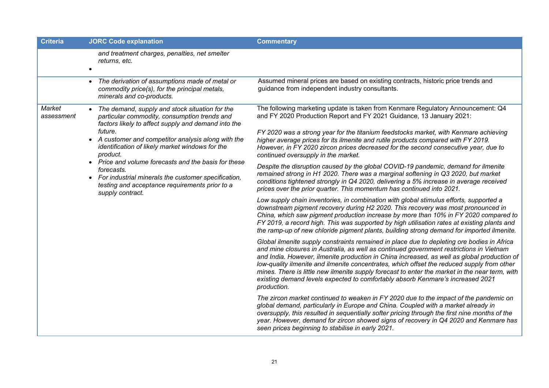| <b>Criteria</b>                                                                                                                                                                                                                                                             | <b>JORC Code explanation</b>                                                                                                                                                                                                                                                                                                                                                                                                                                                                                                                                                          | <b>Commentary</b>                                                                                                                                                                                                                                                                                                                                                                                                            |
|-----------------------------------------------------------------------------------------------------------------------------------------------------------------------------------------------------------------------------------------------------------------------------|---------------------------------------------------------------------------------------------------------------------------------------------------------------------------------------------------------------------------------------------------------------------------------------------------------------------------------------------------------------------------------------------------------------------------------------------------------------------------------------------------------------------------------------------------------------------------------------|------------------------------------------------------------------------------------------------------------------------------------------------------------------------------------------------------------------------------------------------------------------------------------------------------------------------------------------------------------------------------------------------------------------------------|
|                                                                                                                                                                                                                                                                             | and treatment charges, penalties, net smelter<br>returns, etc.                                                                                                                                                                                                                                                                                                                                                                                                                                                                                                                        |                                                                                                                                                                                                                                                                                                                                                                                                                              |
|                                                                                                                                                                                                                                                                             | • The derivation of assumptions made of metal or<br>commodity price(s), for the principal metals,<br>minerals and co-products.                                                                                                                                                                                                                                                                                                                                                                                                                                                        | Assumed mineral prices are based on existing contracts, historic price trends and<br>guidance from independent industry consultants.                                                                                                                                                                                                                                                                                         |
| Market<br>assessment                                                                                                                                                                                                                                                        | The demand, supply and stock situation for the<br>particular commodity, consumption trends and<br>factors likely to affect supply and demand into the<br>future.<br>• A customer and competitor analysis along with the                                                                                                                                                                                                                                                                                                                                                               | The following marketing update is taken from Kenmare Regulatory Announcement: Q4<br>and FY 2020 Production Report and FY 2021 Guidance, 13 January 2021:<br>FY 2020 was a strong year for the titanium feedstocks market, with Kenmare achieving<br>higher average prices for its ilmenite and rutile products compared with FY 2019.<br>However, in FY 2020 zircon prices decreased for the second consecutive year, due to |
| identification of likely market windows for the<br>product.<br>• Price and volume forecasts and the basis for these<br>forecasts.<br>For industrial minerals the customer specification,<br>$\bullet$<br>testing and acceptance requirements prior to a<br>supply contract. | continued oversupply in the market.<br>Despite the disruption caused by the global COVID-19 pandemic, demand for ilmenite                                                                                                                                                                                                                                                                                                                                                                                                                                                             |                                                                                                                                                                                                                                                                                                                                                                                                                              |
|                                                                                                                                                                                                                                                                             | remained strong in H1 2020. There was a marginal softening in Q3 2020, but market<br>conditions tightened strongly in Q4 2020, delivering a 5% increase in average received<br>prices over the prior quarter. This momentum has continued into 2021.                                                                                                                                                                                                                                                                                                                                  |                                                                                                                                                                                                                                                                                                                                                                                                                              |
|                                                                                                                                                                                                                                                                             | Low supply chain inventories, in combination with global stimulus efforts, supported a<br>downstream pigment recovery during H2 2020. This recovery was most pronounced in<br>China, which saw pigment production increase by more than 10% in FY 2020 compared to<br>FY 2019, a record high. This was supported by high utilisation rates at existing plants and<br>the ramp-up of new chloride pigment plants, building strong demand for imported ilmenite.                                                                                                                        |                                                                                                                                                                                                                                                                                                                                                                                                                              |
|                                                                                                                                                                                                                                                                             | Global ilmenite supply constraints remained in place due to depleting ore bodies in Africa<br>and mine closures in Australia, as well as continued government restrictions in Vietnam<br>and India. However, ilmenite production in China increased, as well as global production of<br>low-quality ilmenite and ilmenite concentrates, which offset the reduced supply from other<br>mines. There is little new ilmenite supply forecast to enter the market in the near term, with<br>existing demand levels expected to comfortably absorb Kenmare's increased 2021<br>production. |                                                                                                                                                                                                                                                                                                                                                                                                                              |
|                                                                                                                                                                                                                                                                             |                                                                                                                                                                                                                                                                                                                                                                                                                                                                                                                                                                                       | The zircon market continued to weaken in FY 2020 due to the impact of the pandemic on<br>global demand, particularly in Europe and China. Coupled with a market already in<br>oversupply, this resulted in sequentially softer pricing through the first nine months of the<br>year. However, demand for zircon showed signs of recovery in Q4 2020 and Kenmare has<br>seen prices beginning to stabilise in early 2021.     |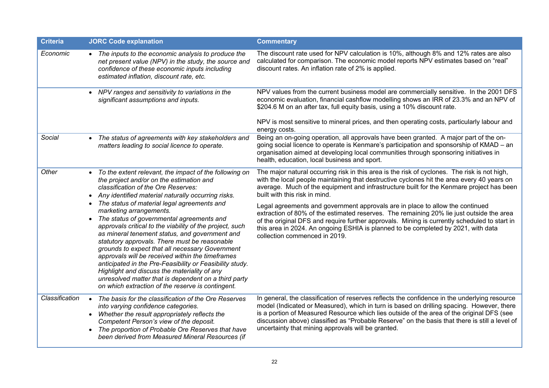| <b>Criteria</b> | <b>JORC Code explanation</b>                                                                                                                                                                                                                                                                                                                                                                                                                                                                                                                                                                                                                                                                                                                                                                                            | <b>Commentary</b>                                                                                                                                                                                                                                                                                                                                                                                                                                                                                                                                                                                                                                                                                                          |
|-----------------|-------------------------------------------------------------------------------------------------------------------------------------------------------------------------------------------------------------------------------------------------------------------------------------------------------------------------------------------------------------------------------------------------------------------------------------------------------------------------------------------------------------------------------------------------------------------------------------------------------------------------------------------------------------------------------------------------------------------------------------------------------------------------------------------------------------------------|----------------------------------------------------------------------------------------------------------------------------------------------------------------------------------------------------------------------------------------------------------------------------------------------------------------------------------------------------------------------------------------------------------------------------------------------------------------------------------------------------------------------------------------------------------------------------------------------------------------------------------------------------------------------------------------------------------------------------|
| Economic        | • The inputs to the economic analysis to produce the<br>net present value (NPV) in the study, the source and<br>confidence of these economic inputs including<br>estimated inflation, discount rate, etc.                                                                                                                                                                                                                                                                                                                                                                                                                                                                                                                                                                                                               | The discount rate used for NPV calculation is 10%, although 8% and 12% rates are also<br>calculated for comparison. The economic model reports NPV estimates based on "real"<br>discount rates. An inflation rate of 2% is applied.                                                                                                                                                                                                                                                                                                                                                                                                                                                                                        |
|                 | • NPV ranges and sensitivity to variations in the<br>significant assumptions and inputs.                                                                                                                                                                                                                                                                                                                                                                                                                                                                                                                                                                                                                                                                                                                                | NPV values from the current business model are commercially sensitive. In the 2001 DFS<br>economic evaluation, financial cashflow modelling shows an IRR of 23.3% and an NPV of<br>\$204.6 M on an after tax, full equity basis, using a 10% discount rate.<br>NPV is most sensitive to mineral prices, and then operating costs, particularly labour and<br>energy costs.                                                                                                                                                                                                                                                                                                                                                 |
| Social          | The status of agreements with key stakeholders and<br>$\bullet$<br>matters leading to social licence to operate.                                                                                                                                                                                                                                                                                                                                                                                                                                                                                                                                                                                                                                                                                                        | Being an on-going operation, all approvals have been granted. A major part of the on-<br>going social licence to operate is Kenmare's participation and sponsorship of KMAD – an<br>organisation aimed at developing local communities through sponsoring initiatives in<br>health, education, local business and sport.                                                                                                                                                                                                                                                                                                                                                                                                   |
| Other           | To the extent relevant, the impact of the following on<br>the project and/or on the estimation and<br>classification of the Ore Reserves:<br>• Any identified material naturally occurring risks.<br>The status of material legal agreements and<br>marketing arrangements.<br>The status of governmental agreements and<br>approvals critical to the viability of the project, such<br>as mineral tenement status, and government and<br>statutory approvals. There must be reasonable<br>grounds to expect that all necessary Government<br>approvals will be received within the timeframes<br>anticipated in the Pre-Feasibility or Feasibility study.<br>Highlight and discuss the materiality of any<br>unresolved matter that is dependent on a third party<br>on which extraction of the reserve is contingent. | The major natural occurring risk in this area is the risk of cyclones. The risk is not high,<br>with the local people maintaining that destructive cyclones hit the area every 40 years on<br>average. Much of the equipment and infrastructure built for the Kenmare project has been<br>built with this risk in mind.<br>Legal agreements and government approvals are in place to allow the continued<br>extraction of 80% of the estimated reserves. The remaining 20% lie just outside the area<br>of the original DFS and require further approvals. Mining is currently scheduled to start in<br>this area in 2024. An ongoing ESHIA is planned to be completed by 2021, with data<br>collection commenced in 2019. |
| Classification  | The basis for the classification of the Ore Reserves<br>$\bullet$<br>into varying confidence categories.<br>Whether the result appropriately reflects the<br>Competent Person's view of the deposit.<br>The proportion of Probable Ore Reserves that have<br>been derived from Measured Mineral Resources (if                                                                                                                                                                                                                                                                                                                                                                                                                                                                                                           | In general, the classification of reserves reflects the confidence in the underlying resource<br>model (Indicated or Measured), which in turn is based on drilling spacing. However, there<br>is a portion of Measured Resource which lies outside of the area of the original DFS (see<br>discussion above) classified as "Probable Reserve" on the basis that there is still a level of<br>uncertainty that mining approvals will be granted.                                                                                                                                                                                                                                                                            |